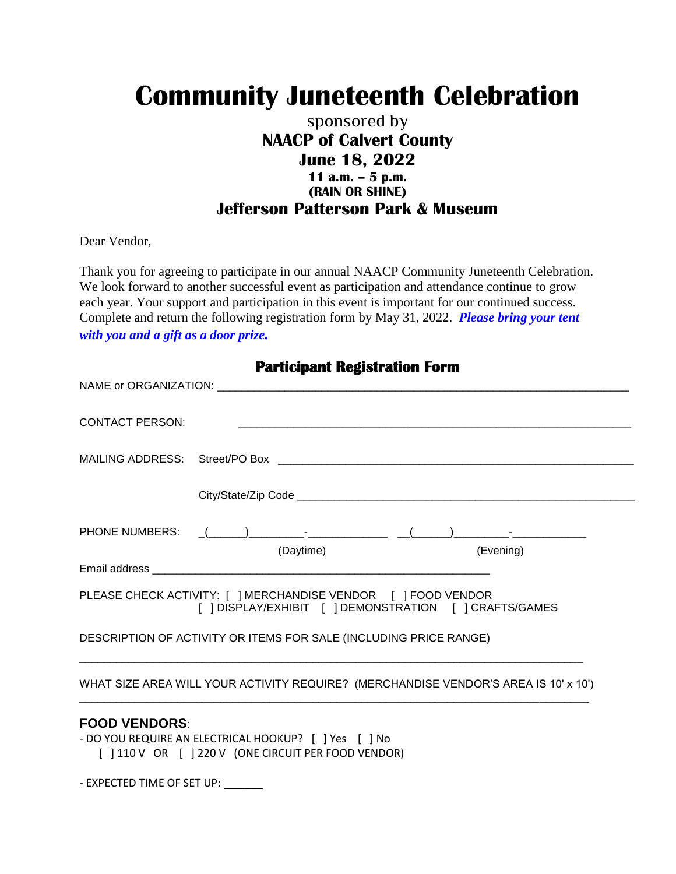# **Community Juneteenth Celebration**

### sponsored by **NAACP of Calvert County June 18, 2022 11 a.m. – 5 p.m. (RAIN OR SHINE) Jefferson Patterson Park & Museum**

Dear Vendor,

Thank you for agreeing to participate in our annual NAACP Community Juneteenth Celebration. We look forward to another successful event as participation and attendance continue to grow each year. Your support and participation in this event is important for our continued success. Complete and return the following registration form by May 31, 2022. *Please bring your tent with you and a gift as a door prize.*

| <b>CONTACT PERSON:</b>                                                                                       |                                                        |                                                                |           |  |
|--------------------------------------------------------------------------------------------------------------|--------------------------------------------------------|----------------------------------------------------------------|-----------|--|
|                                                                                                              |                                                        |                                                                |           |  |
|                                                                                                              |                                                        |                                                                |           |  |
| PHONE NUMBERS: _(_____)_________- <sup>_</sup> ________________ __(_____)________- <sup>_</sup> ____________ | (Daytime)                                              |                                                                | (Evening) |  |
|                                                                                                              |                                                        |                                                                |           |  |
|                                                                                                              | [ ] DISPLAY/EXHIBIT [ ] DEMONSTRATION [ ] CRAFTS/GAMES |                                                                |           |  |
| DESCRIPTION OF ACTIVITY OR ITEMS FOR SALE (INCLUDING PRICE RANGE)                                            |                                                        | <u> 1980 - Johann Barbara, margaret eta idazlea (h. 1980).</u> |           |  |
| WHAT SIZE AREA WILL YOUR ACTIVITY REQUIRE? (MERCHANDISE VENDOR'S AREA IS 10' x 10')                          |                                                        |                                                                |           |  |
| <b>FOOD VENDORS:</b>                                                                                         |                                                        |                                                                |           |  |

**Participant Registration Form** 

- DO YOU REQUIRE AN ELECTRICAL HOOKUP? [ ] Yes [ ] No [ ] 110 V OR [ ] 220 V (ONE CIRCUIT PER FOOD VENDOR)

- EXPECTED TIME OF SET UP: \_\_\_\_\_\_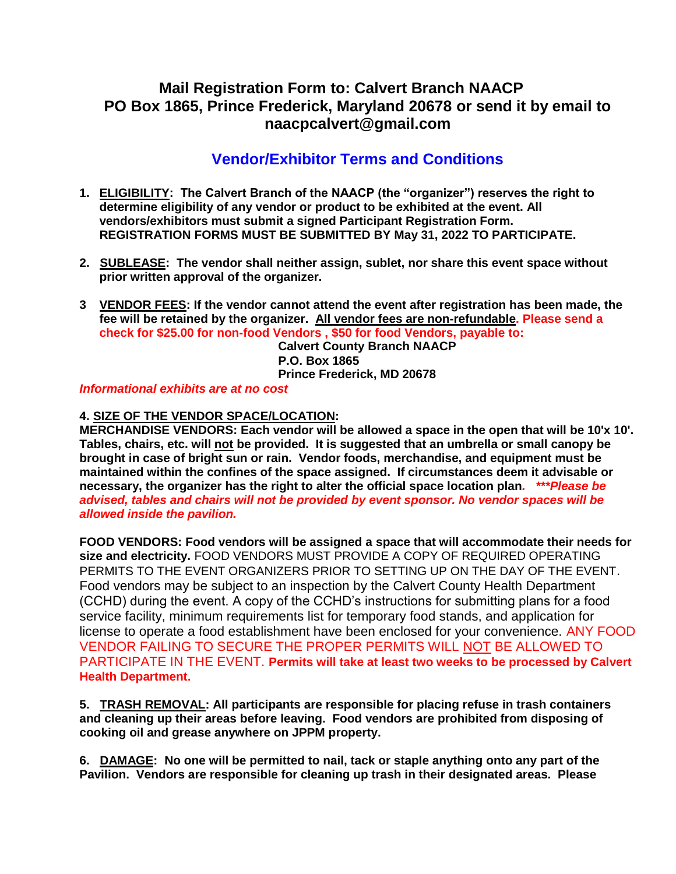### **Mail Registration Form to: Calvert Branch NAACP PO Box 1865, Prince Frederick, Maryland 20678 or send it by email to naacpcalvert@gmail.com**

## **Vendor/Exhibitor Terms and Conditions**

- **1. ELIGIBILITY: The Calvert Branch of the NAACP (the "organizer") reserves the right to determine eligibility of any vendor or product to be exhibited at the event. All vendors/exhibitors must submit a signed Participant Registration Form. REGISTRATION FORMS MUST BE SUBMITTED BY May 31, 2022 TO PARTICIPATE.**
- **2. SUBLEASE: The vendor shall neither assign, sublet, nor share this event space without prior written approval of the organizer.**
- **3 VENDOR FEES: If the vendor cannot attend the event after registration has been made, the fee will be retained by the organizer. All vendor fees are non-refundable. Please send a check for \$25.00 for non-food Vendors , \$50 for food Vendors, payable to: Calvert County Branch NAACP**

**P.O. Box 1865 Prince Frederick, MD 20678**

#### *Informational exhibits are at no cost*

#### **4. SIZE OF THE VENDOR SPACE/LOCATION:**

**MERCHANDISE VENDORS: Each vendor will be allowed a space in the open that will be 10'x 10'. Tables, chairs, etc. will not be provided. It is suggested that an umbrella or small canopy be brought in case of bright sun or rain. Vendor foods, merchandise, and equipment must be maintained within the confines of the space assigned. If circumstances deem it advisable or necessary, the organizer has the right to alter the official space location plan***. \*\*\*Please be advised, tables and chairs will not be provided by event sponsor. No vendor spaces will be allowed inside the pavilion.*

**FOOD VENDORS: Food vendors will be assigned a space that will accommodate their needs for size and electricity.** FOOD VENDORS MUST PROVIDE A COPY OF REQUIRED OPERATING PERMITS TO THE EVENT ORGANIZERS PRIOR TO SETTING UP ON THE DAY OF THE EVENT. Food vendors may be subject to an inspection by the Calvert County Health Department (CCHD) during the event. A copy of the CCHD's instructions for submitting plans for a food service facility, minimum requirements list for temporary food stands, and application for license to operate a food establishment have been enclosed for your convenience. ANY FOOD VENDOR FAILING TO SECURE THE PROPER PERMITS WILL NOT BE ALLOWED TO PARTICIPATE IN THE EVENT. **Permits will take at least two weeks to be processed by Calvert Health Department.**

**5. TRASH REMOVAL: All participants are responsible for placing refuse in trash containers and cleaning up their areas before leaving. Food vendors are prohibited from disposing of cooking oil and grease anywhere on JPPM property.**

**6. DAMAGE: No one will be permitted to nail, tack or staple anything onto any part of the Pavilion. Vendors are responsible for cleaning up trash in their designated areas. Please**